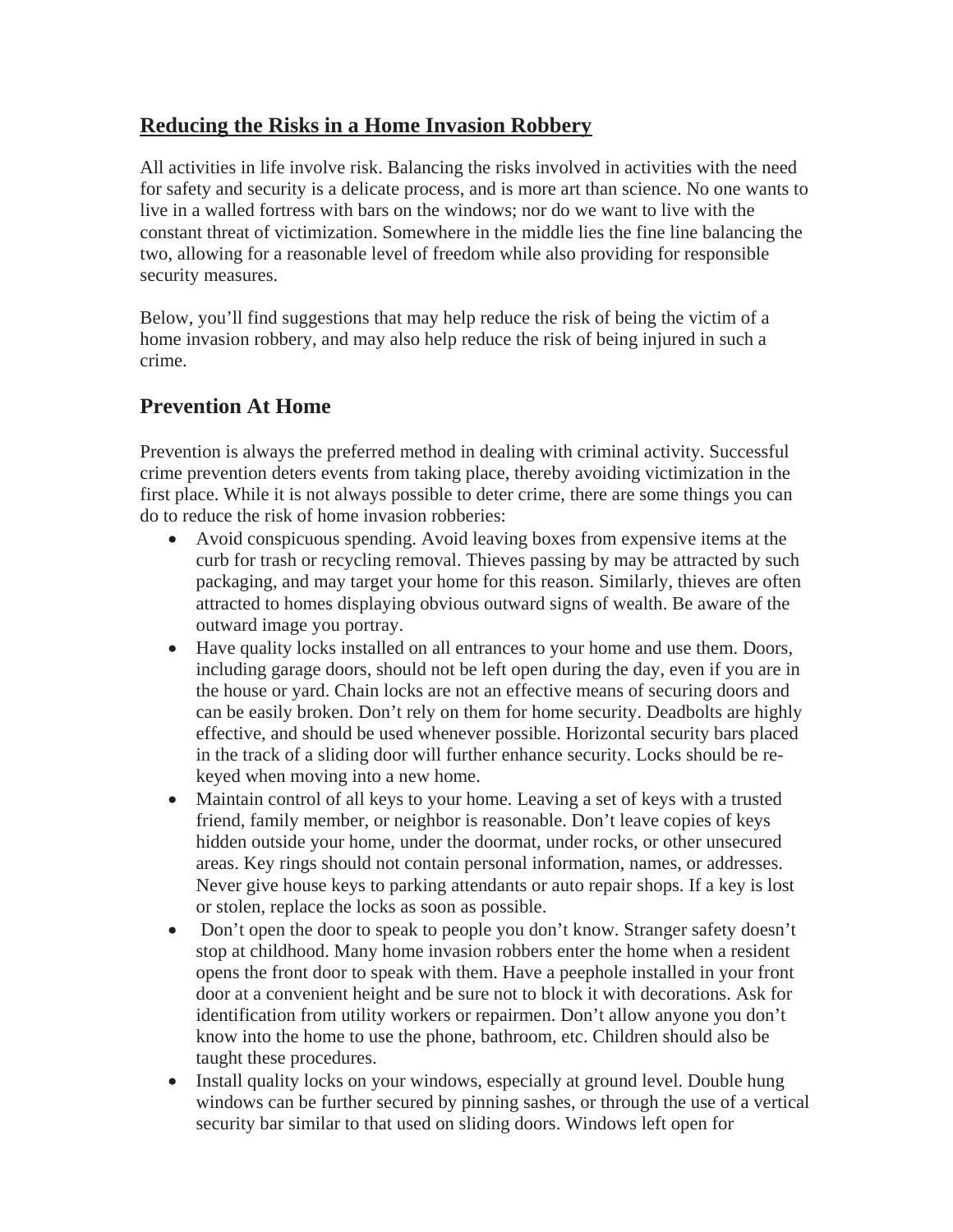## **Reducing the Risks in a Home Invasion Robbery**

All activities in life involve risk. Balancing the risks involved in activities with the need for safety and security is a delicate process, and is more art than science. No one wants to live in a walled fortress with bars on the windows; nor do we want to live with the constant threat of victimization. Somewhere in the middle lies the fine line balancing the two, allowing for a reasonable level of freedom while also providing for responsible security measures.

Below, you'll find suggestions that may help reduce the risk of being the victim of a home invasion robbery, and may also help reduce the risk of being injured in such a crime.

## **Prevention At Home**

Prevention is always the preferred method in dealing with criminal activity. Successful crime prevention deters events from taking place, thereby avoiding victimization in the first place. While it is not always possible to deter crime, there are some things you can do to reduce the risk of home invasion robberies:

- Avoid conspicuous spending. Avoid leaving boxes from expensive items at the curb for trash or recycling removal. Thieves passing by may be attracted by such packaging, and may target your home for this reason. Similarly, thieves are often attracted to homes displaying obvious outward signs of wealth. Be aware of the outward image you portray.
- Have quality locks installed on all entrances to your home and use them. Doors, including garage doors, should not be left open during the day, even if you are in the house or yard. Chain locks are not an effective means of securing doors and can be easily broken. Don't rely on them for home security. Deadbolts are highly effective, and should be used whenever possible. Horizontal security bars placed in the track of a sliding door will further enhance security. Locks should be rekeyed when moving into a new home.
- Maintain control of all keys to your home. Leaving a set of keys with a trusted friend, family member, or neighbor is reasonable. Don't leave copies of keys hidden outside your home, under the doormat, under rocks, or other unsecured areas. Key rings should not contain personal information, names, or addresses. Never give house keys to parking attendants or auto repair shops. If a key is lost or stolen, replace the locks as soon as possible.
- Don't open the door to speak to people you don't know. Stranger safety doesn't stop at childhood. Many home invasion robbers enter the home when a resident opens the front door to speak with them. Have a peephole installed in your front door at a convenient height and be sure not to block it with decorations. Ask for identification from utility workers or repairmen. Don't allow anyone you don't know into the home to use the phone, bathroom, etc. Children should also be taught these procedures.
- Install quality locks on your windows, especially at ground level. Double hung windows can be further secured by pinning sashes, or through the use of a vertical security bar similar to that used on sliding doors. Windows left open for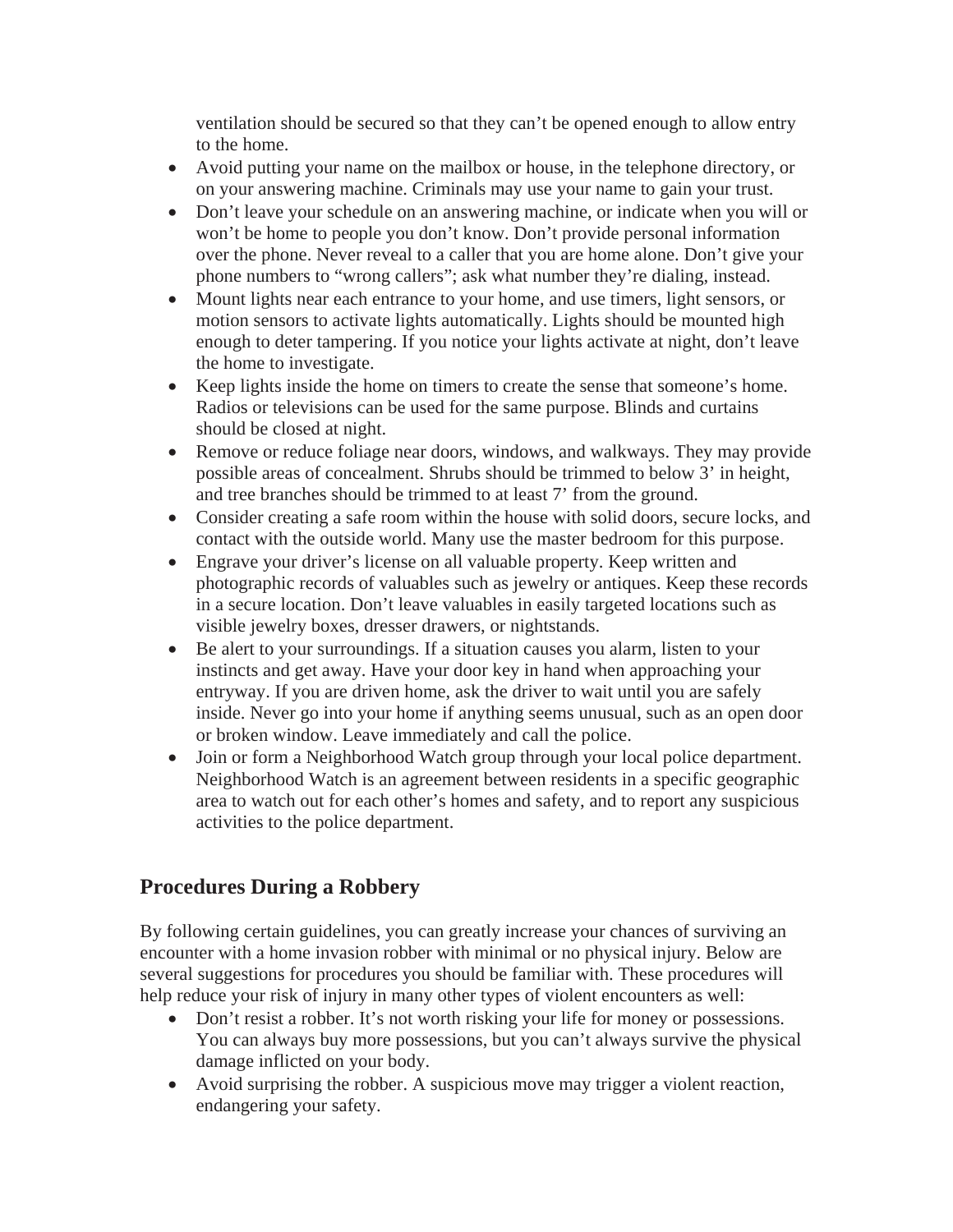ventilation should be secured so that they can't be opened enough to allow entry to the home.

- Avoid putting your name on the mailbox or house, in the telephone directory, or on your answering machine. Criminals may use your name to gain your trust.
- Don't leave your schedule on an answering machine, or indicate when you will or won't be home to people you don't know. Don't provide personal information over the phone. Never reveal to a caller that you are home alone. Don't give your phone numbers to "wrong callers"; ask what number they're dialing, instead.
- Mount lights near each entrance to your home, and use timers, light sensors, or motion sensors to activate lights automatically. Lights should be mounted high enough to deter tampering. If you notice your lights activate at night, don't leave the home to investigate.
- Keep lights inside the home on timers to create the sense that someone's home. Radios or televisions can be used for the same purpose. Blinds and curtains should be closed at night.
- Remove or reduce foliage near doors, windows, and walkways. They may provide possible areas of concealment. Shrubs should be trimmed to below 3' in height, and tree branches should be trimmed to at least 7' from the ground.
- Consider creating a safe room within the house with solid doors, secure locks, and contact with the outside world. Many use the master bedroom for this purpose.
- Engrave your driver's license on all valuable property. Keep written and photographic records of valuables such as jewelry or antiques. Keep these records in a secure location. Don't leave valuables in easily targeted locations such as visible jewelry boxes, dresser drawers, or nightstands.
- Be alert to your surroundings. If a situation causes you alarm, listen to your instincts and get away. Have your door key in hand when approaching your entryway. If you are driven home, ask the driver to wait until you are safely inside. Never go into your home if anything seems unusual, such as an open door or broken window. Leave immediately and call the police.
- Join or form a Neighborhood Watch group through your local police department. Neighborhood Watch is an agreement between residents in a specific geographic area to watch out for each other's homes and safety, and to report any suspicious activities to the police department.

## **Procedures During a Robbery**

By following certain guidelines, you can greatly increase your chances of surviving an encounter with a home invasion robber with minimal or no physical injury. Below are several suggestions for procedures you should be familiar with. These procedures will help reduce your risk of injury in many other types of violent encounters as well:

- Don't resist a robber. It's not worth risking your life for money or possessions. You can always buy more possessions, but you can't always survive the physical damage inflicted on your body.
- Avoid surprising the robber. A suspicious move may trigger a violent reaction, endangering your safety.